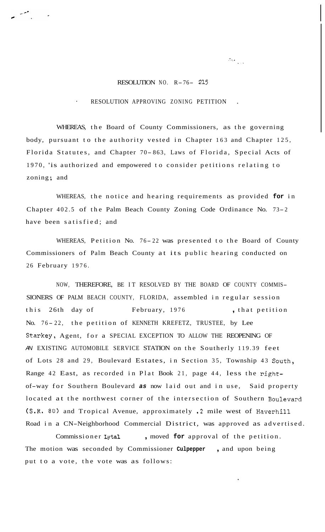## RESOLUTION NO. R-76- <sup>215</sup>

.".  $\label{eq:1} \begin{array}{l} \left\| \begin{array}{cc} 0 & \cdots & \cdots \\ \hline \end{array} \right\|_{\mathcal{H}^{s-1/2}} \end{array}$ 

## RESOLUTION APPROVING ZONING PETITION

WHEREAS, the Board of County Commissioners, as the governing body, pursuant to the authority vested in Chapter 163 and Chapter 125, Florida Statutes, and Chapter 70- 863, Laws of Florida, Special Acts of 1970, 'is authorized and empowered to consider petitions relating to zoning; and

WHEREAS, the notice and hearing requirements as provided **for** in Chapter 402.5 of the Palm Beach County Zoning Code Ordinance No. 73-2 have been satisfied; and

WHEREAS, Petition No. 76-22 was presented to the Board of County Commissioners of Palm Beach County at its public hearing conducted on 26 February 1976.

NOW, THEREFORE, BE IT RESOLVED BY THE BOARD OF COUNTY COMMIS-SIONERS OF PALM BEACH COUNTY, FLORIDA, assembled in regular session this 26th day of February, 1976 , that petition No. 76-22, the petition of KENNETH KREFETZ, TRUSTEE, by Lee Starkey, Agent, for a SPECIAL EXCEPTION TO ALLOW THE REOPENING OF *AN* EXISTING AUTOMOBILE SERVICE STATION on the Southerly 119.39 feet of Lots 28 and 29, Boulevard Estates, in Section 35, Township 43 South, Range 42 East, as recorded in Plat Book 21, page 44, less the rightof-way for Southern Boulevard *as* now laid out and in use, Said property located at the northwest corner of the intersection of Southern Boulevard (S.R. **80)** and Tropical Avenue, approximately .2 mile west of Haverhill Road in a CN-Neighborhood Commercial District, was approved as advertised.

Commissioner Lytal , moved for approval of the petition. The motion was seconded by Commissioner **Culpepper** , and upon being put to a vote, the vote was as follows: